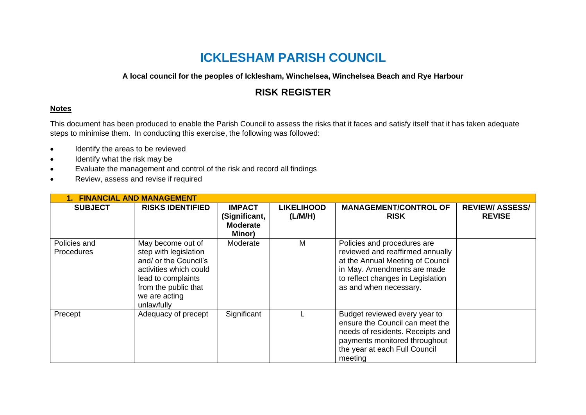# **ICKLESHAM PARISH COUNCIL**

#### **A local council for the peoples of Icklesham, Winchelsea, Winchelsea Beach and Rye Harbour**

## **RISK REGISTER**

#### **Notes**

This document has been produced to enable the Parish Council to assess the risks that it faces and satisfy itself that it has taken adequate steps to minimise them. In conducting this exercise, the following was followed:

- Identify the areas to be reviewed
- Identify what the risk may be
- Evaluate the management and control of the risk and record all findings
- Review, assess and revise if required

| <b>1. FINANCIAL AND MANAGEMENT</b> |                                                                                                                                                                            |                                                             |                              |                                                                                                                                                                                                   |                                         |  |  |  |
|------------------------------------|----------------------------------------------------------------------------------------------------------------------------------------------------------------------------|-------------------------------------------------------------|------------------------------|---------------------------------------------------------------------------------------------------------------------------------------------------------------------------------------------------|-----------------------------------------|--|--|--|
| <b>SUBJECT</b>                     | <b>RISKS IDENTIFIED</b>                                                                                                                                                    | <b>IMPACT</b><br>(Significant,<br><b>Moderate</b><br>Minor) | <b>LIKELIHOOD</b><br>(L/M/H) | <b>MANAGEMENT/CONTROL OF</b><br><b>RISK</b>                                                                                                                                                       | <b>REVIEW/ ASSESS/</b><br><b>REVISE</b> |  |  |  |
| Policies and<br>Procedures         | May become out of<br>step with legislation<br>and/ or the Council's<br>activities which could<br>lead to complaints<br>from the public that<br>we are acting<br>unlawfully | Moderate                                                    | M                            | Policies and procedures are<br>reviewed and reaffirmed annually<br>at the Annual Meeting of Council<br>in May. Amendments are made<br>to reflect changes in Legislation<br>as and when necessary. |                                         |  |  |  |
| Precept                            | Adequacy of precept                                                                                                                                                        | Significant                                                 |                              | Budget reviewed every year to<br>ensure the Council can meet the<br>needs of residents. Receipts and<br>payments monitored throughout<br>the year at each Full Council<br>meeting                 |                                         |  |  |  |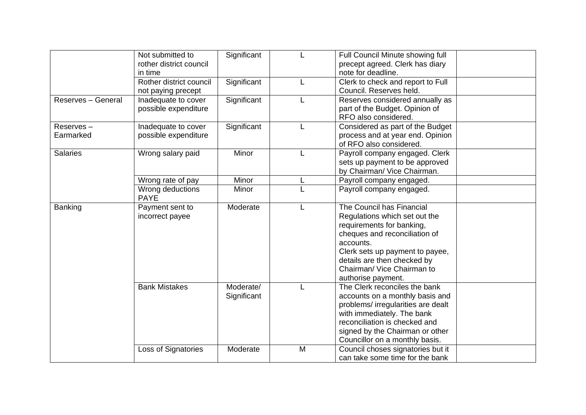|                        | Not submitted to<br>rother district council<br>in time | Significant              |   | Full Council Minute showing full<br>precept agreed. Clerk has diary<br>note for deadline.                                                                                                                                                                   |  |
|------------------------|--------------------------------------------------------|--------------------------|---|-------------------------------------------------------------------------------------------------------------------------------------------------------------------------------------------------------------------------------------------------------------|--|
|                        | Rother district council<br>not paying precept          | Significant              |   | Clerk to check and report to Full<br>Council. Reserves held.                                                                                                                                                                                                |  |
| Reserves - General     | Inadequate to cover<br>possible expenditure            | Significant              |   | Reserves considered annually as<br>part of the Budget. Opinion of<br>RFO also considered.                                                                                                                                                                   |  |
| Reserves-<br>Earmarked | Inadequate to cover<br>possible expenditure            | Significant              |   | Considered as part of the Budget<br>process and at year end. Opinion<br>of RFO also considered.                                                                                                                                                             |  |
| <b>Salaries</b>        | Wrong salary paid                                      | Minor                    |   | Payroll company engaged. Clerk<br>sets up payment to be approved<br>by Chairman/ Vice Chairman.                                                                                                                                                             |  |
|                        | Wrong rate of pay                                      | Minor                    |   | Payroll company engaged.                                                                                                                                                                                                                                    |  |
|                        | Wrong deductions<br><b>PAYE</b>                        | Minor                    |   | Payroll company engaged.                                                                                                                                                                                                                                    |  |
| Banking                | Payment sent to<br>incorrect payee                     | Moderate                 |   | The Council has Financial<br>Regulations which set out the<br>requirements for banking,<br>cheques and reconciliation of<br>accounts.<br>Clerk sets up payment to payee,<br>details are then checked by<br>Chairman/ Vice Chairman to<br>authorise payment. |  |
|                        | <b>Bank Mistakes</b>                                   | Moderate/<br>Significant |   | The Clerk reconciles the bank<br>accounts on a monthly basis and<br>problems/ irregularities are dealt<br>with immediately. The bank<br>reconciliation is checked and<br>signed by the Chairman or other<br>Councillor on a monthly basis.                  |  |
|                        | Loss of Signatories                                    | Moderate                 | M | Council choses signatories but it<br>can take some time for the bank                                                                                                                                                                                        |  |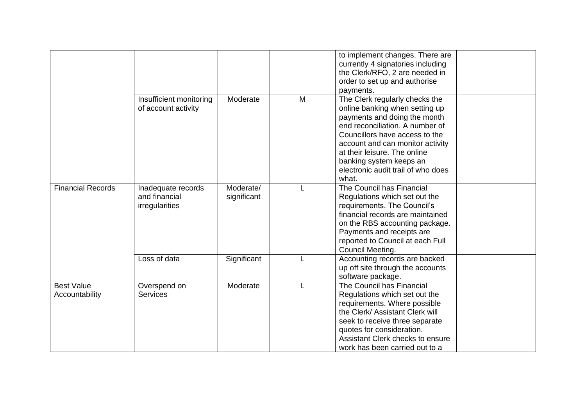|                                     |                                                       |                          |   | to implement changes. There are<br>currently 4 signatories including<br>the Clerk/RFO, 2 are needed in<br>order to set up and authorise<br>payments.                                                                                                                                                                |  |
|-------------------------------------|-------------------------------------------------------|--------------------------|---|---------------------------------------------------------------------------------------------------------------------------------------------------------------------------------------------------------------------------------------------------------------------------------------------------------------------|--|
|                                     | Insufficient monitoring<br>of account activity        | Moderate                 | M | The Clerk regularly checks the<br>online banking when setting up<br>payments and doing the month<br>end reconciliation. A number of<br>Councillors have access to the<br>account and can monitor activity<br>at their leisure. The online<br>banking system keeps an<br>electronic audit trail of who does<br>what. |  |
| <b>Financial Records</b>            | Inadequate records<br>and financial<br>irregularities | Moderate/<br>significant |   | The Council has Financial<br>Regulations which set out the<br>requirements. The Council's<br>financial records are maintained<br>on the RBS accounting package.<br>Payments and receipts are<br>reported to Council at each Full<br>Council Meeting.                                                                |  |
|                                     | Loss of data                                          | Significant              |   | Accounting records are backed<br>up off site through the accounts<br>software package.                                                                                                                                                                                                                              |  |
| <b>Best Value</b><br>Accountability | Overspend on<br><b>Services</b>                       | Moderate                 |   | The Council has Financial<br>Regulations which set out the<br>requirements. Where possible<br>the Clerk/ Assistant Clerk will<br>seek to receive three separate<br>quotes for consideration.<br>Assistant Clerk checks to ensure<br>work has been carried out to a                                                  |  |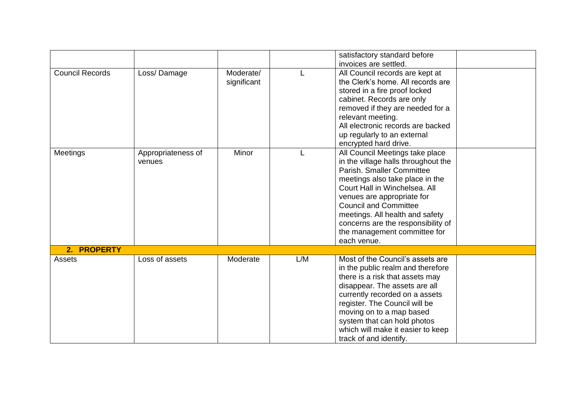|                        |                              |                          |     | satisfactory standard before<br>invoices are settled.                                                                                                                                                                                                                                                                                                         |  |
|------------------------|------------------------------|--------------------------|-----|---------------------------------------------------------------------------------------------------------------------------------------------------------------------------------------------------------------------------------------------------------------------------------------------------------------------------------------------------------------|--|
| <b>Council Records</b> | Loss/Damage                  | Moderate/<br>significant |     | All Council records are kept at<br>the Clerk's home. All records are<br>stored in a fire proof locked<br>cabinet. Records are only<br>removed if they are needed for a<br>relevant meeting.<br>All electronic records are backed<br>up regularly to an external<br>encrypted hard drive.                                                                      |  |
| Meetings               | Appropriateness of<br>venues | Minor                    |     | All Council Meetings take place<br>in the village halls throughout the<br>Parish, Smaller Committee<br>meetings also take place in the<br>Court Hall in Winchelsea. All<br>venues are appropriate for<br><b>Council and Committee</b><br>meetings. All health and safety<br>concerns are the responsibility of<br>the management committee for<br>each venue. |  |
| 2. PROPERTY            |                              |                          |     |                                                                                                                                                                                                                                                                                                                                                               |  |
| Assets                 | Loss of assets               | Moderate                 | L/M | Most of the Council's assets are<br>in the public realm and therefore<br>there is a risk that assets may<br>disappear. The assets are all<br>currently recorded on a assets<br>register. The Council will be<br>moving on to a map based<br>system that can hold photos<br>which will make it easier to keep<br>track of and identify.                        |  |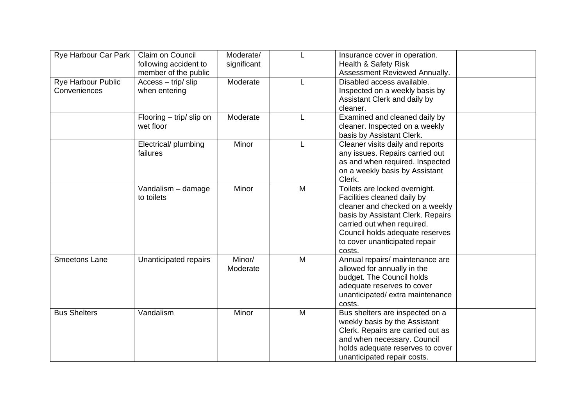| Rye Harbour Car Park               | Claim on Council<br>following accident to<br>member of the public | Moderate/<br>significant |   | Insurance cover in operation.<br><b>Health &amp; Safety Risk</b><br>Assessment Reviewed Annually.                                                                                                                                                |  |
|------------------------------------|-------------------------------------------------------------------|--------------------------|---|--------------------------------------------------------------------------------------------------------------------------------------------------------------------------------------------------------------------------------------------------|--|
| Rye Harbour Public<br>Conveniences | Access - trip/slip<br>when entering                               | Moderate                 |   | Disabled access available.<br>Inspected on a weekly basis by<br>Assistant Clerk and daily by<br>cleaner.                                                                                                                                         |  |
|                                    | Flooring $-$ trip/ slip on<br>wet floor                           | Moderate                 |   | Examined and cleaned daily by<br>cleaner. Inspected on a weekly<br>basis by Assistant Clerk.                                                                                                                                                     |  |
|                                    | Electrical/ plumbing<br>failures                                  | Minor                    |   | Cleaner visits daily and reports<br>any issues. Repairs carried out<br>as and when required. Inspected<br>on a weekly basis by Assistant<br>Clerk.                                                                                               |  |
|                                    | Vandalism - damage<br>to toilets                                  | Minor                    | M | Toilets are locked overnight.<br>Facilities cleaned daily by<br>cleaner and checked on a weekly<br>basis by Assistant Clerk. Repairs<br>carried out when required.<br>Council holds adequate reserves<br>to cover unanticipated repair<br>costs. |  |
| <b>Smeetons Lane</b>               | Unanticipated repairs                                             | Minor/<br>Moderate       | M | Annual repairs/ maintenance are<br>allowed for annually in the<br>budget. The Council holds<br>adequate reserves to cover<br>unanticipated/extra maintenance<br>costs.                                                                           |  |
| <b>Bus Shelters</b>                | Vandalism                                                         | Minor                    | M | Bus shelters are inspected on a<br>weekly basis by the Assistant<br>Clerk. Repairs are carried out as<br>and when necessary. Council<br>holds adequate reserves to cover<br>unanticipated repair costs.                                          |  |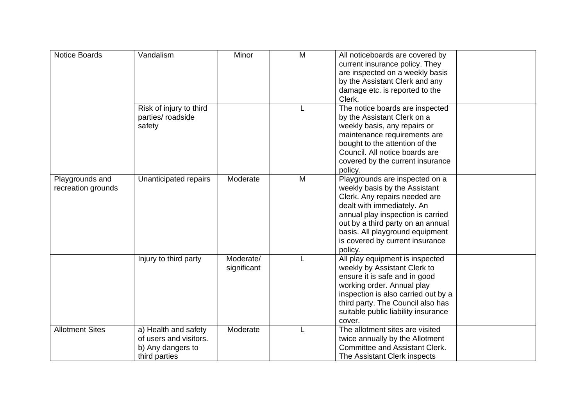| <b>Notice Boards</b>                  | Vandalism                                                                            | Minor                    | M | All noticeboards are covered by<br>current insurance policy. They<br>are inspected on a weekly basis<br>by the Assistant Clerk and any<br>damage etc. is reported to the<br>Clerk.                                                                                                        |  |
|---------------------------------------|--------------------------------------------------------------------------------------|--------------------------|---|-------------------------------------------------------------------------------------------------------------------------------------------------------------------------------------------------------------------------------------------------------------------------------------------|--|
|                                       | Risk of injury to third<br>parties/ roadside<br>safety                               |                          |   | The notice boards are inspected<br>by the Assistant Clerk on a<br>weekly basis, any repairs or<br>maintenance requirements are<br>bought to the attention of the<br>Council. All notice boards are<br>covered by the current insurance<br>policy.                                         |  |
| Playgrounds and<br>recreation grounds | Unanticipated repairs                                                                | Moderate                 | M | Playgrounds are inspected on a<br>weekly basis by the Assistant<br>Clerk. Any repairs needed are<br>dealt with immediately. An<br>annual play inspection is carried<br>out by a third party on an annual<br>basis. All playground equipment<br>is covered by current insurance<br>policy. |  |
|                                       | Injury to third party                                                                | Moderate/<br>significant |   | All play equipment is inspected<br>weekly by Assistant Clerk to<br>ensure it is safe and in good<br>working order. Annual play<br>inspection is also carried out by a<br>third party. The Council also has<br>suitable public liability insurance<br>cover.                               |  |
| <b>Allotment Sites</b>                | a) Health and safety<br>of users and visitors.<br>b) Any dangers to<br>third parties | Moderate                 |   | The allotment sites are visited<br>twice annually by the Allotment<br><b>Committee and Assistant Clerk.</b><br>The Assistant Clerk inspects                                                                                                                                               |  |